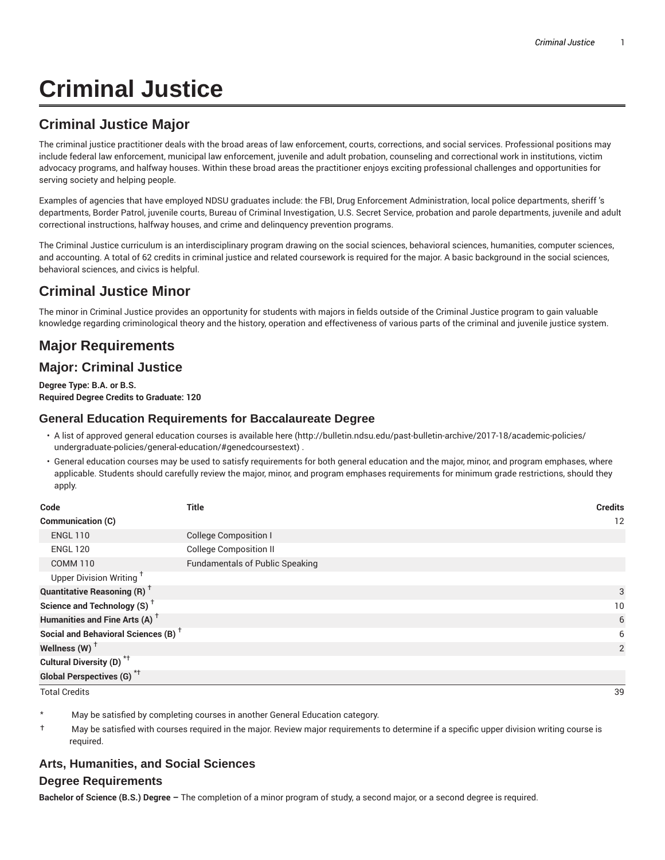# **Criminal Justice**

# **Criminal Justice Major**

The criminal justice practitioner deals with the broad areas of law enforcement, courts, corrections, and social services. Professional positions may include federal law enforcement, municipal law enforcement, juvenile and adult probation, counseling and correctional work in institutions, victim advocacy programs, and halfway houses. Within these broad areas the practitioner enjoys exciting professional challenges and opportunities for serving society and helping people.

Examples of agencies that have employed NDSU graduates include: the FBI, Drug Enforcement Administration, local police departments, sheriff 's departments, Border Patrol, juvenile courts, Bureau of Criminal Investigation, U.S. Secret Service, probation and parole departments, juvenile and adult correctional instructions, halfway houses, and crime and delinquency prevention programs.

The Criminal Justice curriculum is an interdisciplinary program drawing on the social sciences, behavioral sciences, humanities, computer sciences, and accounting. A total of 62 credits in criminal justice and related coursework is required for the major. A basic background in the social sciences, behavioral sciences, and civics is helpful.

# **Criminal Justice Minor**

The minor in Criminal Justice provides an opportunity for students with majors in fields outside of the Criminal Justice program to gain valuable knowledge regarding criminological theory and the history, operation and effectiveness of various parts of the criminal and juvenile justice system.

# **Major Requirements**

## **Major: Criminal Justice**

**Degree Type: B.A. or B.S. Required Degree Credits to Graduate: 120**

#### **General Education Requirements for Baccalaureate Degree**

- A list of approved general education courses is available here (http://bulletin.ndsu.edu/past-bulletin-archive/2017-18/academic-policies/ undergraduate-policies/general-education/#genedcoursestext) .
- General education courses may be used to satisfy requirements for both general education and the major, minor, and program emphases, where applicable. Students should carefully review the major, minor, and program emphases requirements for minimum grade restrictions, should they apply.

| Code                                            | <b>Title</b>                           | <b>Credits</b> |
|-------------------------------------------------|----------------------------------------|----------------|
| Communication (C)                               |                                        | 12             |
| <b>ENGL 110</b>                                 | <b>College Composition I</b>           |                |
| <b>ENGL 120</b>                                 | <b>College Composition II</b>          |                |
| <b>COMM 110</b>                                 | <b>Fundamentals of Public Speaking</b> |                |
| Upper Division Writing <sup>+</sup>             |                                        |                |
| <b>Quantitative Reasoning (R)</b> <sup>†</sup>  |                                        | 3              |
| Science and Technology (S) <sup>+</sup>         |                                        | 10             |
| Humanities and Fine Arts (A) <sup>+</sup>       |                                        | 6              |
| Social and Behavioral Sciences (B) <sup>+</sup> |                                        | 6              |
| Wellness (W) $^{\dagger}$                       |                                        | 2              |
| Cultural Diversity (D) <sup>*†</sup>            |                                        |                |
| <b>Global Perspectives (G)<sup>*†</sup></b>     |                                        |                |

Total Credits 39

May be satisfied by completing courses in another General Education category.

† May be satisfied with courses required in the major. Review major requirements to determine if a specific upper division writing course is required.

## **Arts, Humanities, and Social Sciences**

#### **Degree Requirements**

**Bachelor of Science (B.S.) Degree –** The completion of a minor program of study, a second major, or a second degree is required.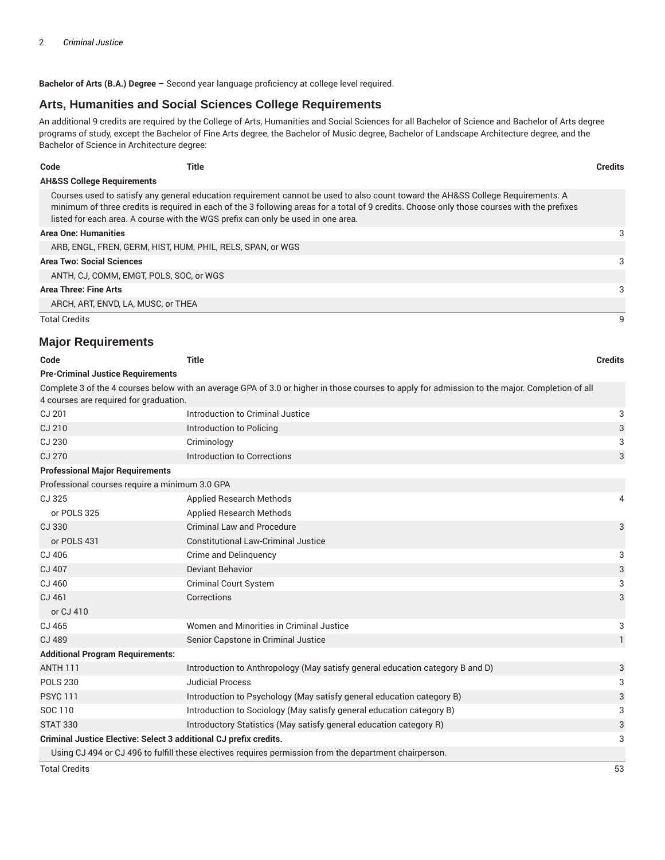**Bachelor of Arts (B.A.) Degree –** Second year language proficiency at college level required.

#### **Arts, Humanities and Social Sciences College Requirements**

An additional 9 credits are required by the College of Arts, Humanities and Social Sciences for all Bachelor of Science and Bachelor of Arts degree programs of study, except the Bachelor of Fine Arts degree, the Bachelor of Music degree, Bachelor of Landscape Architecture degree, and the Bachelor of Science in Architecture degree:

| Code                                  | Title                                                                            |                                                                                                                                                                                                                                                                                | <b>Credits</b> |  |
|---------------------------------------|----------------------------------------------------------------------------------|--------------------------------------------------------------------------------------------------------------------------------------------------------------------------------------------------------------------------------------------------------------------------------|----------------|--|
| <b>AH&amp;SS College Requirements</b> |                                                                                  |                                                                                                                                                                                                                                                                                |                |  |
|                                       | listed for each area. A course with the WGS prefix can only be used in one area. | Courses used to satisfy any general education requirement cannot be used to also count toward the AH&SS College Requirements. A<br>minimum of three credits is required in each of the 3 following areas for a total of 9 credits. Choose only those courses with the prefixes |                |  |
| <b>Area One: Humanities</b>           |                                                                                  |                                                                                                                                                                                                                                                                                | 3              |  |
|                                       | ARB, ENGL, FREN, GERM, HIST, HUM, PHIL, RELS, SPAN, or WGS                       |                                                                                                                                                                                                                                                                                |                |  |
| <b>Area Two: Social Sciences</b>      |                                                                                  |                                                                                                                                                                                                                                                                                | 3              |  |
|                                       | ANTH. CJ. COMM. EMGT. POLS. SOC. or WGS.                                         |                                                                                                                                                                                                                                                                                |                |  |
| Area Three: Fine Arts                 |                                                                                  |                                                                                                                                                                                                                                                                                | 3              |  |
| ARCH, ART, ENVD, LA, MUSC, or THEA    |                                                                                  |                                                                                                                                                                                                                                                                                |                |  |
| <b>Total Credits</b>                  |                                                                                  |                                                                                                                                                                                                                                                                                | g              |  |

#### **Major Requirements**

| Code                                                              | <b>Title</b>                                                                                                                                   | <b>Credits</b> |
|-------------------------------------------------------------------|------------------------------------------------------------------------------------------------------------------------------------------------|----------------|
| <b>Pre-Criminal Justice Requirements</b>                          |                                                                                                                                                |                |
| 4 courses are required for graduation.                            | Complete 3 of the 4 courses below with an average GPA of 3.0 or higher in those courses to apply for admission to the major. Completion of all |                |
| CJ 201                                                            | Introduction to Criminal Justice                                                                                                               | 3              |
| CJ 210                                                            | Introduction to Policing                                                                                                                       | 3              |
| CJ 230                                                            | Criminology                                                                                                                                    | 3              |
| CJ 270                                                            | Introduction to Corrections                                                                                                                    | 3              |
| <b>Professional Major Requirements</b>                            |                                                                                                                                                |                |
| Professional courses require a minimum 3.0 GPA                    |                                                                                                                                                |                |
| CJ 325                                                            | <b>Applied Research Methods</b>                                                                                                                | 4              |
| or POLS 325                                                       | <b>Applied Research Methods</b>                                                                                                                |                |
| CJ 330                                                            | <b>Criminal Law and Procedure</b>                                                                                                              | 3              |
| or POLS 431                                                       | <b>Constitutional Law-Criminal Justice</b>                                                                                                     |                |
| CJ 406                                                            | Crime and Delinguency                                                                                                                          | 3              |
| CJ 407                                                            | <b>Deviant Behavior</b>                                                                                                                        | 3              |
| CJ 460                                                            | <b>Criminal Court System</b>                                                                                                                   | 3              |
| CJ 461                                                            | Corrections                                                                                                                                    | 3              |
| or CJ 410                                                         |                                                                                                                                                |                |
| CJ 465                                                            | Women and Minorities in Criminal Justice                                                                                                       | 3              |
| CJ 489                                                            | Senior Capstone in Criminal Justice                                                                                                            | $\mathbf{1}$   |
| <b>Additional Program Requirements:</b>                           |                                                                                                                                                |                |
| <b>ANTH 111</b>                                                   | Introduction to Anthropology (May satisfy general education category B and D)                                                                  | 3              |
| <b>POLS 230</b>                                                   | <b>Judicial Process</b>                                                                                                                        | 3              |
| <b>PSYC 111</b>                                                   | Introduction to Psychology (May satisfy general education category B)                                                                          | 3              |
| SOC 110                                                           | Introduction to Sociology (May satisfy general education category B)                                                                           | 3              |
| <b>STAT 330</b>                                                   | Introductory Statistics (May satisfy general education category R)                                                                             | 3              |
| Criminal Justice Elective: Select 3 additional CJ prefix credits. |                                                                                                                                                | 3              |
|                                                                   | Using CJ 494 or CJ 496 to fulfill these electives requires permission from the department chairperson.                                         |                |

Total Credits 53